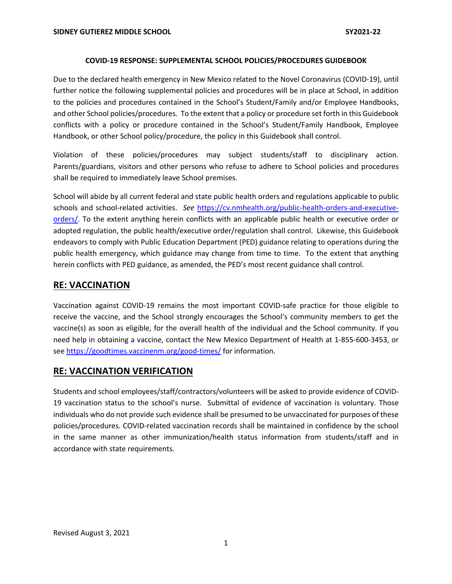#### **COVID-19 RESPONSE: SUPPLEMENTAL SCHOOL POLICIES/PROCEDURES GUIDEBOOK**

Due to the declared health emergency in New Mexico related to the Novel Coronavirus (COVID-19), until further notice the following supplemental policies and procedures will be in place at School, in addition to the policies and procedures contained in the School's Student/Family and/or Employee Handbooks, and other School policies/procedures. To the extent that a policy or procedure set forth in this Guidebook conflicts with a policy or procedure contained in the School's Student/Family Handbook, Employee Handbook, or other School policy/procedure, the policy in this Guidebook shall control.

Violation of these policies/procedures may subject students/staff to disciplinary action. Parents/guardians, visitors and other persons who refuse to adhere to School policies and procedures shall be required to immediately leave School premises.

School will abide by all current federal and state public health orders and regulations applicable to public schools and school-related activities. *See* https://cv.nmhealth.org/public-health-orders-and-executiveorders/. To the extent anything herein conflicts with an applicable public health or executive order or adopted regulation, the public health/executive order/regulation shall control. Likewise, this Guidebook endeavors to comply with Public Education Department (PED) guidance relating to operations during the public health emergency, which guidance may change from time to time. To the extent that anything herein conflicts with PED guidance, as amended, the PED's most recent guidance shall control.

### **RE: VACCINATION**

Vaccination against COVID-19 remains the most important COVID-safe practice for those eligible to receive the vaccine, and the School strongly encourages the School's community members to get the vaccine(s) as soon as eligible, for the overall health of the individual and the School community. If you need help in obtaining a vaccine, contact the New Mexico Department of Health at 1-855-600-3453, or see https://goodtimes.vaccinenm.org/good-times/ for information.

#### **RE: VACCINATION VERIFICATION**

Students and school employees/staff/contractors/volunteers will be asked to provide evidence of COVID-19 vaccination status to the school's nurse. Submittal of evidence of vaccination is voluntary. Those individuals who do not provide such evidence shall be presumed to be unvaccinated for purposes of these policies/procedures. COVID-related vaccination records shall be maintained in confidence by the school in the same manner as other immunization/health status information from students/staff and in accordance with state requirements.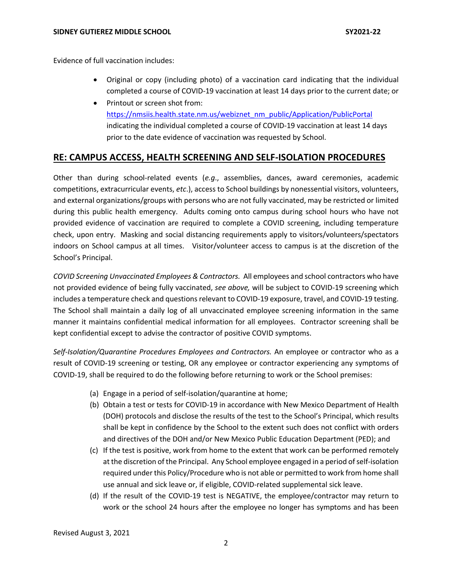Evidence of full vaccination includes:

- Original or copy (including photo) of a vaccination card indicating that the individual completed a course of COVID-19 vaccination at least 14 days prior to the current date; or
- Printout or screen shot from: https://nmsiis.health.state.nm.us/webiznet\_nm\_public/Application/PublicPortal indicating the individual completed a course of COVID-19 vaccination at least 14 days prior to the date evidence of vaccination was requested by School.

### **RE: CAMPUS ACCESS, HEALTH SCREENING AND SELF-ISOLATION PROCEDURES**

Other than during school-related events (*e.g*., assemblies, dances, award ceremonies, academic competitions, extracurricular events, *etc*.), access to School buildings by nonessential visitors, volunteers, and external organizations/groups with persons who are not fully vaccinated, may be restricted or limited during this public health emergency. Adults coming onto campus during school hours who have not provided evidence of vaccination are required to complete a COVID screening, including temperature check, upon entry. Masking and social distancing requirements apply to visitors/volunteers/spectators indoors on School campus at all times. Visitor/volunteer access to campus is at the discretion of the School's Principal.

*COVID Screening Unvaccinated Employees & Contractors.* All employees and school contractors who have not provided evidence of being fully vaccinated, *see above,* will be subject to COVID-19 screening which includes a temperature check and questions relevant to COVID-19 exposure, travel, and COVID-19 testing. The School shall maintain a daily log of all unvaccinated employee screening information in the same manner it maintains confidential medical information for all employees. Contractor screening shall be kept confidential except to advise the contractor of positive COVID symptoms.

*Self-Isolation/Quarantine Procedures Employees and Contractors.* An employee or contractor who as a result of COVID-19 screening or testing, OR any employee or contractor experiencing any symptoms of COVID-19, shall be required to do the following before returning to work or the School premises:

- (a) Engage in a period of self-isolation/quarantine at home;
- (b) Obtain a test or tests for COVID-19 in accordance with New Mexico Department of Health (DOH) protocols and disclose the results of the test to the School's Principal, which results shall be kept in confidence by the School to the extent such does not conflict with orders and directives of the DOH and/or New Mexico Public Education Department (PED); and
- (c) If the test is positive, work from home to the extent that work can be performed remotely at the discretion of the Principal. Any School employee engaged in a period of self-isolation required under this Policy/Procedure who is not able or permitted to work from home shall use annual and sick leave or, if eligible, COVID-related supplemental sick leave.
- (d) If the result of the COVID-19 test is NEGATIVE, the employee/contractor may return to work or the school 24 hours after the employee no longer has symptoms and has been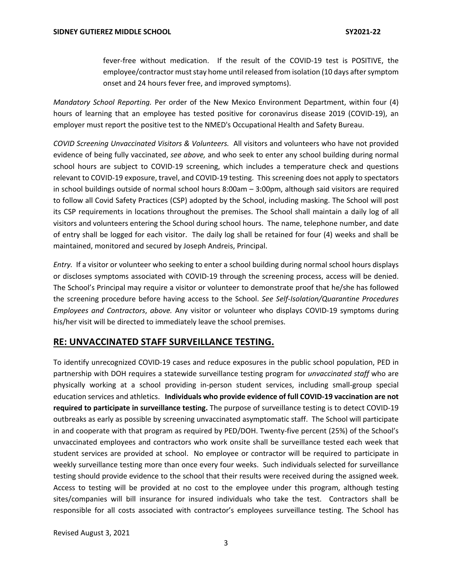fever-free without medication. If the result of the COVID-19 test is POSITIVE, the employee/contractor must stay home until released from isolation (10 days after symptom onset and 24 hours fever free, and improved symptoms).

*Mandatory School Reporting.* Per order of the New Mexico Environment Department, within four (4) hours of learning that an employee has tested positive for coronavirus disease 2019 (COVID-19), an employer must report the positive test to the NMED's Occupational Health and Safety Bureau.

*COVID Screening Unvaccinated Visitors & Volunteers.* All visitors and volunteers who have not provided evidence of being fully vaccinated, *see above,* and who seek to enter any school building during normal school hours are subject to COVID-19 screening, which includes a temperature check and questions relevant to COVID-19 exposure, travel, and COVID-19 testing. This screening does not apply to spectators in school buildings outside of normal school hours 8:00am – 3:00pm, although said visitors are required to follow all Covid Safety Practices (CSP) adopted by the School, including masking. The School will post its CSP requirements in locations throughout the premises. The School shall maintain a daily log of all visitors and volunteers entering the School during school hours. The name, telephone number, and date of entry shall be logged for each visitor. The daily log shall be retained for four (4) weeks and shall be maintained, monitored and secured by Joseph Andreis, Principal.

*Entry.* If a visitor or volunteer who seeking to enter a school building during normal school hours displays or discloses symptoms associated with COVID-19 through the screening process, access will be denied. The School's Principal may require a visitor or volunteer to demonstrate proof that he/she has followed the screening procedure before having access to the School. *See Self-Isolation/Quarantine Procedures Employees and Contractors*, *above.* Any visitor or volunteer who displays COVID-19 symptoms during his/her visit will be directed to immediately leave the school premises.

#### **RE: UNVACCINATED STAFF SURVEILLANCE TESTING.**

To identify unrecognized COVID-19 cases and reduce exposures in the public school population, PED in partnership with DOH requires a statewide surveillance testing program for *unvaccinated staff* who are physically working at a school providing in-person student services, including small-group special education services and athletics. **Individuals who provide evidence of full COVID-19 vaccination are not required to participate in surveillance testing.** The purpose of surveillance testing is to detect COVID-19 outbreaks as early as possible by screening unvaccinated asymptomatic staff. The School will participate in and cooperate with that program as required by PED/DOH. Twenty-five percent (25%) of the School's unvaccinated employees and contractors who work onsite shall be surveillance tested each week that student services are provided at school. No employee or contractor will be required to participate in weekly surveillance testing more than once every four weeks. Such individuals selected for surveillance testing should provide evidence to the school that their results were received during the assigned week. Access to testing will be provided at no cost to the employee under this program, although testing sites/companies will bill insurance for insured individuals who take the test. Contractors shall be responsible for all costs associated with contractor's employees surveillance testing. The School has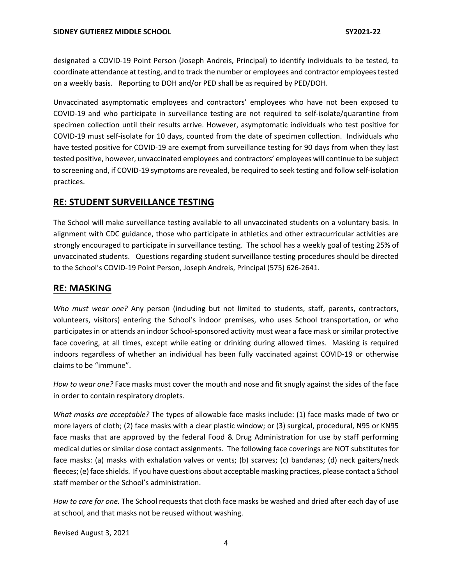designated a COVID-19 Point Person (Joseph Andreis, Principal) to identify individuals to be tested, to coordinate attendance at testing, and to track the number or employees and contractor employees tested on a weekly basis. Reporting to DOH and/or PED shall be as required by PED/DOH.

Unvaccinated asymptomatic employees and contractors' employees who have not been exposed to COVID-19 and who participate in surveillance testing are not required to self-isolate/quarantine from specimen collection until their results arrive. However, asymptomatic individuals who test positive for COVID-19 must self-isolate for 10 days, counted from the date of specimen collection. Individuals who have tested positive for COVID-19 are exempt from surveillance testing for 90 days from when they last tested positive, however, unvaccinated employees and contractors' employees will continue to be subject to screening and, if COVID-19 symptoms are revealed, be required to seek testing and follow self-isolation practices.

## **RE: STUDENT SURVEILLANCE TESTING**

The School will make surveillance testing available to all unvaccinated students on a voluntary basis. In alignment with CDC guidance, those who participate in athletics and other extracurricular activities are strongly encouraged to participate in surveillance testing. The school has a weekly goal of testing 25% of unvaccinated students. Questions regarding student surveillance testing procedures should be directed to the School's COVID-19 Point Person, Joseph Andreis, Principal (575) 626-2641.

## **RE: MASKING**

*Who must wear one?* Any person (including but not limited to students, staff, parents, contractors, volunteers, visitors) entering the School's indoor premises, who uses School transportation, or who participates in or attends an indoor School-sponsored activity must wear a face mask or similar protective face covering, at all times, except while eating or drinking during allowed times. Masking is required indoors regardless of whether an individual has been fully vaccinated against COVID-19 or otherwise claims to be "immune".

*How to wear one?* Face masks must cover the mouth and nose and fit snugly against the sides of the face in order to contain respiratory droplets.

*What masks are acceptable?* The types of allowable face masks include: (1) face masks made of two or more layers of cloth; (2) face masks with a clear plastic window; or (3) surgical, procedural, N95 or KN95 face masks that are approved by the federal Food & Drug Administration for use by staff performing medical duties or similar close contact assignments. The following face coverings are NOT substitutes for face masks: (a) masks with exhalation valves or vents; (b) scarves; (c) bandanas; (d) neck gaiters/neck fleeces; (e) face shields. If you have questions about acceptable masking practices, please contact a School staff member or the School's administration.

*How to care for one.* The School requests that cloth face masks be washed and dried after each day of use at school, and that masks not be reused without washing.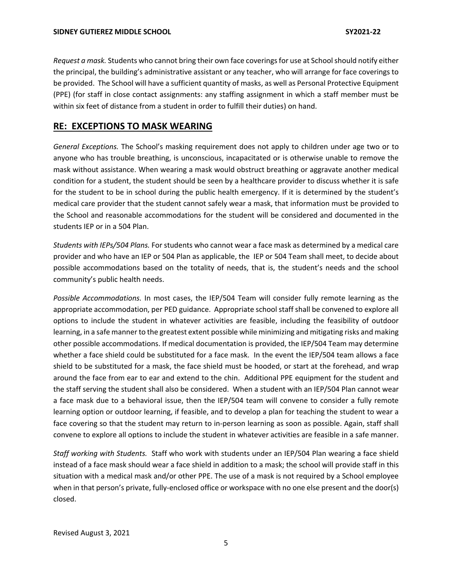*Request a mask.* Students who cannot bring their own face coverings for use at School should notify either the principal, the building's administrative assistant or any teacher, who will arrange for face coverings to be provided. The School will have a sufficient quantity of masks, as well as Personal Protective Equipment (PPE) (for staff in close contact assignments: any staffing assignment in which a staff member must be within six feet of distance from a student in order to fulfill their duties) on hand.

### **RE: EXCEPTIONS TO MASK WEARING**

*General Exceptions.* The School's masking requirement does not apply to children under age two or to anyone who has trouble breathing, is unconscious, incapacitated or is otherwise unable to remove the mask without assistance. When wearing a mask would obstruct breathing or aggravate another medical condition for a student, the student should be seen by a healthcare provider to discuss whether it is safe for the student to be in school during the public health emergency. If it is determined by the student's medical care provider that the student cannot safely wear a mask, that information must be provided to the School and reasonable accommodations for the student will be considered and documented in the students IEP or in a 504 Plan.

*Students with IEPs/504 Plans.* For students who cannot wear a face mask as determined by a medical care provider and who have an IEP or 504 Plan as applicable, the IEP or 504 Team shall meet, to decide about possible accommodations based on the totality of needs, that is, the student's needs and the school community's public health needs.

*Possible Accommodations.* In most cases, the IEP/504 Team will consider fully remote learning as the appropriate accommodation, per PED guidance. Appropriate school staff shall be convened to explore all options to include the student in whatever activities are feasible, including the feasibility of outdoor learning, in a safe manner to the greatest extent possible while minimizing and mitigating risks and making other possible accommodations. If medical documentation is provided, the IEP/504 Team may determine whether a face shield could be substituted for a face mask. In the event the IEP/504 team allows a face shield to be substituted for a mask, the face shield must be hooded, or start at the forehead, and wrap around the face from ear to ear and extend to the chin. Additional PPE equipment for the student and the staff serving the student shall also be considered. When a student with an IEP/504 Plan cannot wear a face mask due to a behavioral issue, then the IEP/504 team will convene to consider a fully remote learning option or outdoor learning, if feasible, and to develop a plan for teaching the student to wear a face covering so that the student may return to in-person learning as soon as possible. Again, staff shall convene to explore all options to include the student in whatever activities are feasible in a safe manner.

*Staff working with Students.* Staff who work with students under an IEP/504 Plan wearing a face shield instead of a face mask should wear a face shield in addition to a mask; the school will provide staff in this situation with a medical mask and/or other PPE. The use of a mask is not required by a School employee when in that person's private, fully-enclosed office or workspace with no one else present and the door(s) closed.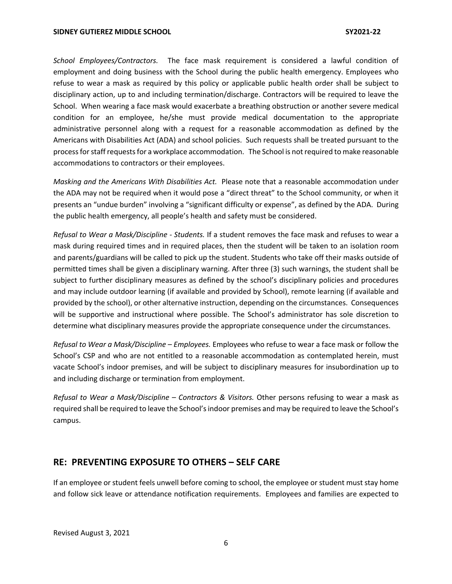*School Employees/Contractors.* The face mask requirement is considered a lawful condition of employment and doing business with the School during the public health emergency. Employees who refuse to wear a mask as required by this policy or applicable public health order shall be subject to disciplinary action, up to and including termination/discharge. Contractors will be required to leave the School. When wearing a face mask would exacerbate a breathing obstruction or another severe medical condition for an employee, he/she must provide medical documentation to the appropriate administrative personnel along with a request for a reasonable accommodation as defined by the Americans with Disabilities Act (ADA) and school policies. Such requests shall be treated pursuant to the process for staff requests for a workplace accommodation. The School is not required to make reasonable accommodations to contractors or their employees.

*Masking and the Americans With Disabilities Act.* Please note that a reasonable accommodation under the ADA may not be required when it would pose a "direct threat" to the School community, or when it presents an "undue burden" involving a "significant difficulty or expense", as defined by the ADA. During the public health emergency, all people's health and safety must be considered.

*Refusal to Wear a Mask/Discipline - Students.* If a student removes the face mask and refuses to wear a mask during required times and in required places, then the student will be taken to an isolation room and parents/guardians will be called to pick up the student. Students who take off their masks outside of permitted times shall be given a disciplinary warning. After three (3) such warnings, the student shall be subject to further disciplinary measures as defined by the school's disciplinary policies and procedures and may include outdoor learning (if available and provided by School), remote learning (if available and provided by the school), or other alternative instruction, depending on the circumstances. Consequences will be supportive and instructional where possible. The School's administrator has sole discretion to determine what disciplinary measures provide the appropriate consequence under the circumstances.

*Refusal to Wear a Mask/Discipline – Employees.* Employees who refuse to wear a face mask or follow the School's CSP and who are not entitled to a reasonable accommodation as contemplated herein, must vacate School's indoor premises, and will be subject to disciplinary measures for insubordination up to and including discharge or termination from employment.

*Refusal to Wear a Mask/Discipline – Contractors & Visitors.* Other persons refusing to wear a mask as required shall be required to leave the School's indoor premises and may be required to leave the School's campus.

#### **RE: PREVENTING EXPOSURE TO OTHERS – SELF CARE**

If an employee or student feels unwell before coming to school, the employee or student must stay home and follow sick leave or attendance notification requirements. Employees and families are expected to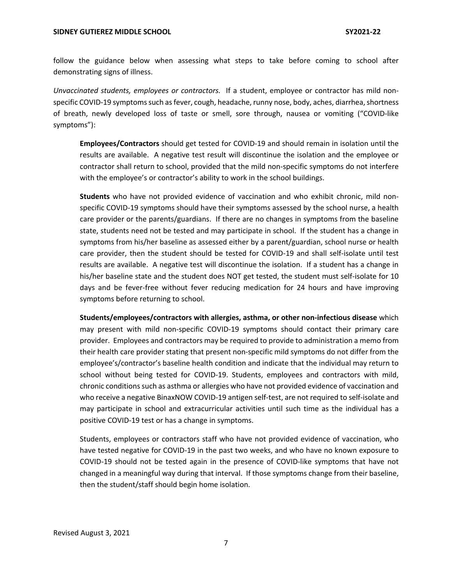follow the guidance below when assessing what steps to take before coming to school after demonstrating signs of illness.

*Unvaccinated students, employees or contractors.* If a student, employee or contractor has mild nonspecific COVID-19 symptoms such as fever, cough, headache, runny nose, body, aches, diarrhea, shortness of breath, newly developed loss of taste or smell, sore through, nausea or vomiting ("COVID-like symptoms"):

**Employees/Contractors** should get tested for COVID-19 and should remain in isolation until the results are available. A negative test result will discontinue the isolation and the employee or contractor shall return to school, provided that the mild non-specific symptoms do not interfere with the employee's or contractor's ability to work in the school buildings.

**Students** who have not provided evidence of vaccination and who exhibit chronic, mild nonspecific COVID-19 symptoms should have their symptoms assessed by the school nurse, a health care provider or the parents/guardians. If there are no changes in symptoms from the baseline state, students need not be tested and may participate in school. If the student has a change in symptoms from his/her baseline as assessed either by a parent/guardian, school nurse or health care provider, then the student should be tested for COVID-19 and shall self-isolate until test results are available. A negative test will discontinue the isolation. If a student has a change in his/her baseline state and the student does NOT get tested, the student must self-isolate for 10 days and be fever-free without fever reducing medication for 24 hours and have improving symptoms before returning to school.

**Students/employees/contractors with allergies, asthma, or other non-infectious disease** which may present with mild non-specific COVID-19 symptoms should contact their primary care provider. Employees and contractors may be required to provide to administration a memo from their health care provider stating that present non-specific mild symptoms do not differ from the employee's/contractor's baseline health condition and indicate that the individual may return to school without being tested for COVID-19. Students, employees and contractors with mild, chronic conditions such as asthma or allergies who have not provided evidence of vaccination and who receive a negative BinaxNOW COVID-19 antigen self-test, are not required to self-isolate and may participate in school and extracurricular activities until such time as the individual has a positive COVID-19 test or has a change in symptoms.

Students, employees or contractors staff who have not provided evidence of vaccination, who have tested negative for COVID-19 in the past two weeks, and who have no known exposure to COVID-19 should not be tested again in the presence of COVID-like symptoms that have not changed in a meaningful way during that interval. If those symptoms change from their baseline, then the student/staff should begin home isolation.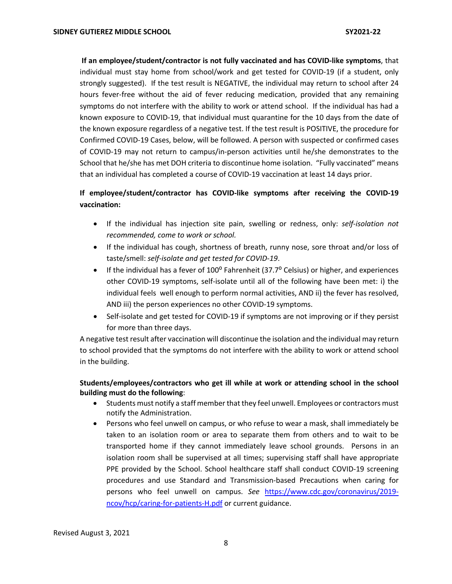**If an employee/student/contractor is not fully vaccinated and has COVID-like symptoms**, that individual must stay home from school/work and get tested for COVID-19 (if a student, only strongly suggested). If the test result is NEGATIVE, the individual may return to school after 24 hours fever-free without the aid of fever reducing medication, provided that any remaining symptoms do not interfere with the ability to work or attend school. If the individual has had a known exposure to COVID-19, that individual must quarantine for the 10 days from the date of the known exposure regardless of a negative test. If the test result is POSITIVE, the procedure for Confirmed COVID-19 Cases, below, will be followed. A person with suspected or confirmed cases of COVID-19 may not return to campus/in-person activities until he/she demonstrates to the School that he/she has met DOH criteria to discontinue home isolation. "Fully vaccinated" means that an individual has completed a course of COVID-19 vaccination at least 14 days prior.

## **If employee/student/contractor has COVID-like symptoms after receiving the COVID-19 vaccination:**

- If the individual has injection site pain, swelling or redness, only: *self-isolation not recommended, come to work or school.*
- If the individual has cough, shortness of breath, runny nose, sore throat and/or loss of taste/smell: *self-isolate and get tested for COVID-19*.
- If the individual has a fever of  $100^{\circ}$  Fahrenheit (37.7 $^{\circ}$  Celsius) or higher, and experiences other COVID-19 symptoms, self-isolate until all of the following have been met: i) the individual feels well enough to perform normal activities, AND ii) the fever has resolved, AND iii) the person experiences no other COVID-19 symptoms.
- Self-isolate and get tested for COVID-19 if symptoms are not improving or if they persist for more than three days.

A negative test result after vaccination will discontinue the isolation and the individual may return to school provided that the symptoms do not interfere with the ability to work or attend school in the building.

#### **Students/employees/contractors who get ill while at work or attending school in the school building must do the following**:

- Students must notify a staff member that they feel unwell. Employees or contractors must notify the Administration.
- Persons who feel unwell on campus, or who refuse to wear a mask, shall immediately be taken to an isolation room or area to separate them from others and to wait to be transported home if they cannot immediately leave school grounds. Persons in an isolation room shall be supervised at all times; supervising staff shall have appropriate PPE provided by the School. School healthcare staff shall conduct COVID-19 screening procedures and use Standard and Transmission-based Precautions when caring for persons who feel unwell on campus. *See* https://www.cdc.gov/coronavirus/2019 ncov/hcp/caring-for-patients-H.pdf or current guidance.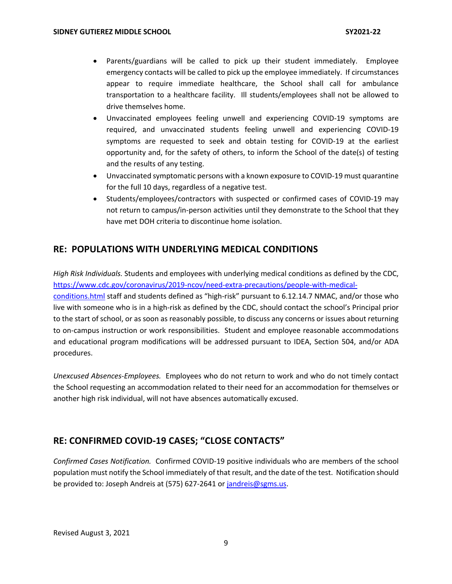- Parents/guardians will be called to pick up their student immediately. Employee emergency contacts will be called to pick up the employee immediately. If circumstances appear to require immediate healthcare, the School shall call for ambulance transportation to a healthcare facility. Ill students/employees shall not be allowed to drive themselves home.
- Unvaccinated employees feeling unwell and experiencing COVID-19 symptoms are required, and unvaccinated students feeling unwell and experiencing COVID-19 symptoms are requested to seek and obtain testing for COVID-19 at the earliest opportunity and, for the safety of others, to inform the School of the date(s) of testing and the results of any testing.
- Unvaccinated symptomatic persons with a known exposure to COVID-19 must quarantine for the full 10 days, regardless of a negative test.
- Students/employees/contractors with suspected or confirmed cases of COVID-19 may not return to campus/in-person activities until they demonstrate to the School that they have met DOH criteria to discontinue home isolation.

## **RE: POPULATIONS WITH UNDERLYING MEDICAL CONDITIONS**

*High Risk Individuals.* Students and employees with underlying medical conditions as defined by the CDC, https://www.cdc.gov/coronavirus/2019-ncov/need-extra-precautions/people-with-medicalconditions.html staff and students defined as "high-risk" pursuant to 6.12.14.7 NMAC, and/or those who live with someone who is in a high-risk as defined by the CDC, should contact the school's Principal prior to the start of school, or as soon as reasonably possible, to discuss any concerns or issues about returning to on-campus instruction or work responsibilities. Student and employee reasonable accommodations and educational program modifications will be addressed pursuant to IDEA, Section 504, and/or ADA procedures.

*Unexcused Absences-Employees.* Employees who do not return to work and who do not timely contact the School requesting an accommodation related to their need for an accommodation for themselves or another high risk individual, will not have absences automatically excused.

## **RE: CONFIRMED COVID-19 CASES; "CLOSE CONTACTS"**

*Confirmed Cases Notification.* Confirmed COVID-19 positive individuals who are members of the school population must notify the School immediately of that result, and the date of the test. Notification should be provided to: Joseph Andreis at (575) 627-2641 or jandreis@sgms.us.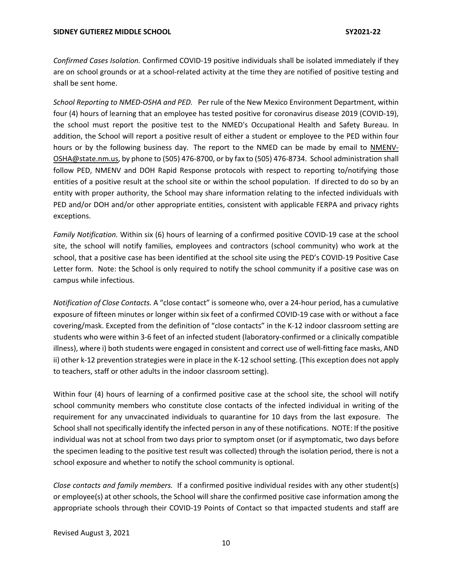*Confirmed Cases Isolation.* Confirmed COVID-19 positive individuals shall be isolated immediately if they are on school grounds or at a school-related activity at the time they are notified of positive testing and shall be sent home.

*School Reporting to NMED-OSHA and PED.* Per rule of the New Mexico Environment Department, within four (4) hours of learning that an employee has tested positive for coronavirus disease 2019 (COVID-19), the school must report the positive test to the NMED's Occupational Health and Safety Bureau. In addition, the School will report a positive result of either a student or employee to the PED within four hours or by the following business day. The report to the NMED can be made by email to NMENV-OSHA@state.nm.us, by phone to (505) 476-8700, or by fax to (505) 476-8734. School administration shall follow PED, NMENV and DOH Rapid Response protocols with respect to reporting to/notifying those entities of a positive result at the school site or within the school population. If directed to do so by an entity with proper authority, the School may share information relating to the infected individuals with PED and/or DOH and/or other appropriate entities, consistent with applicable FERPA and privacy rights exceptions.

*Family Notification.* Within six (6) hours of learning of a confirmed positive COVID-19 case at the school site, the school will notify families, employees and contractors (school community) who work at the school, that a positive case has been identified at the school site using the PED's COVID-19 Positive Case Letter form. Note: the School is only required to notify the school community if a positive case was on campus while infectious.

*Notification of Close Contacts.* A "close contact" is someone who, over a 24-hour period, has a cumulative exposure of fifteen minutes or longer within six feet of a confirmed COVID-19 case with or without a face covering/mask. Excepted from the definition of "close contacts" in the K-12 indoor classroom setting are students who were within 3-6 feet of an infected student (laboratory-confirmed or a clinically compatible illness), where i) both students were engaged in consistent and correct use of well-fitting face masks, AND ii) other k-12 prevention strategies were in place in the K-12 school setting. (This exception does not apply to teachers, staff or other adults in the indoor classroom setting).

Within four (4) hours of learning of a confirmed positive case at the school site, the school will notify school community members who constitute close contacts of the infected individual in writing of the requirement for any unvaccinated individuals to quarantine for 10 days from the last exposure. The School shall not specifically identify the infected person in any of these notifications. NOTE: If the positive individual was not at school from two days prior to symptom onset (or if asymptomatic, two days before the specimen leading to the positive test result was collected) through the isolation period, there is not a school exposure and whether to notify the school community is optional.

*Close contacts and family members.* If a confirmed positive individual resides with any other student(s) or employee(s) at other schools, the School will share the confirmed positive case information among the appropriate schools through their COVID-19 Points of Contact so that impacted students and staff are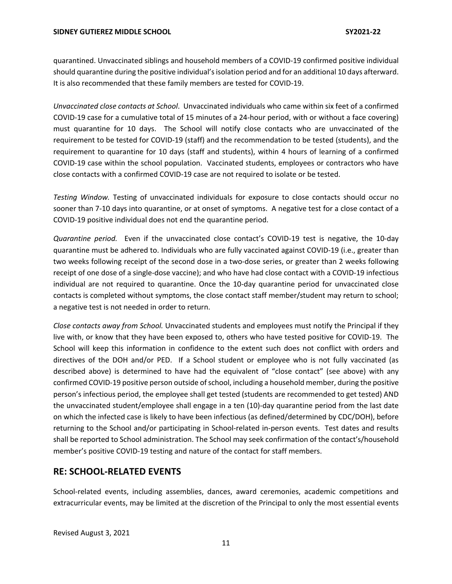quarantined. Unvaccinated siblings and household members of a COVID-19 confirmed positive individual should quarantine during the positive individual's isolation period and for an additional 10 days afterward. It is also recommended that these family members are tested for COVID-19.

*Unvaccinated close contacts at School*. Unvaccinated individuals who came within six feet of a confirmed COVID-19 case for a cumulative total of 15 minutes of a 24-hour period, with or without a face covering) must quarantine for 10 days. The School will notify close contacts who are unvaccinated of the requirement to be tested for COVID-19 (staff) and the recommendation to be tested (students), and the requirement to quarantine for 10 days (staff and students), within 4 hours of learning of a confirmed COVID-19 case within the school population. Vaccinated students, employees or contractors who have close contacts with a confirmed COVID-19 case are not required to isolate or be tested.

*Testing Window.* Testing of unvaccinated individuals for exposure to close contacts should occur no sooner than 7-10 days into quarantine, or at onset of symptoms. A negative test for a close contact of a COVID-19 positive individual does not end the quarantine period.

*Quarantine period.* Even if the unvaccinated close contact's COVID-19 test is negative, the 10-day quarantine must be adhered to. Individuals who are fully vaccinated against COVID-19 (i.e., greater than two weeks following receipt of the second dose in a two-dose series, or greater than 2 weeks following receipt of one dose of a single-dose vaccine); and who have had close contact with a COVID-19 infectious individual are not required to quarantine. Once the 10-day quarantine period for unvaccinated close contacts is completed without symptoms, the close contact staff member/student may return to school; a negative test is not needed in order to return.

*Close contacts away from School.* Unvaccinated students and employees must notify the Principal if they live with, or know that they have been exposed to, others who have tested positive for COVID-19. The School will keep this information in confidence to the extent such does not conflict with orders and directives of the DOH and/or PED. If a School student or employee who is not fully vaccinated (as described above) is determined to have had the equivalent of "close contact" (see above) with any confirmed COVID-19 positive person outside of school, including a household member, during the positive person's infectious period, the employee shall get tested (students are recommended to get tested) AND the unvaccinated student/employee shall engage in a ten (10)-day quarantine period from the last date on which the infected case is likely to have been infectious (as defined/determined by CDC/DOH), before returning to the School and/or participating in School-related in-person events. Test dates and results shall be reported to School administration. The School may seek confirmation of the contact's/household member's positive COVID-19 testing and nature of the contact for staff members.

## **RE: SCHOOL-RELATED EVENTS**

School-related events, including assemblies, dances, award ceremonies, academic competitions and extracurricular events, may be limited at the discretion of the Principal to only the most essential events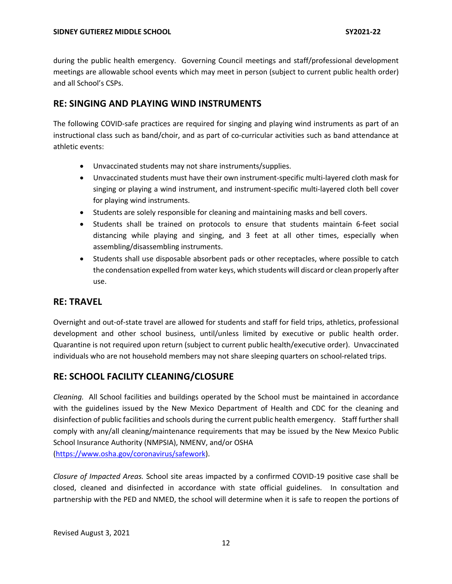during the public health emergency. Governing Council meetings and staff/professional development meetings are allowable school events which may meet in person (subject to current public health order) and all School's CSPs.

## **RE: SINGING AND PLAYING WIND INSTRUMENTS**

The following COVID-safe practices are required for singing and playing wind instruments as part of an instructional class such as band/choir, and as part of co-curricular activities such as band attendance at athletic events:

- Unvaccinated students may not share instruments/supplies.
- Unvaccinated students must have their own instrument-specific multi-layered cloth mask for singing or playing a wind instrument, and instrument-specific multi-layered cloth bell cover for playing wind instruments.
- Students are solely responsible for cleaning and maintaining masks and bell covers.
- Students shall be trained on protocols to ensure that students maintain 6-feet social distancing while playing and singing, and 3 feet at all other times, especially when assembling/disassembling instruments.
- Students shall use disposable absorbent pads or other receptacles, where possible to catch the condensation expelled from water keys, which students will discard or clean properly after use.

## **RE: TRAVEL**

Overnight and out-of-state travel are allowed for students and staff for field trips, athletics, professional development and other school business, until/unless limited by executive or public health order. Quarantine is not required upon return (subject to current public health/executive order). Unvaccinated individuals who are not household members may not share sleeping quarters on school-related trips.

## **RE: SCHOOL FACILITY CLEANING/CLOSURE**

*Cleaning.* All School facilities and buildings operated by the School must be maintained in accordance with the guidelines issued by the New Mexico Department of Health and CDC for the cleaning and disinfection of public facilities and schools during the current public health emergency. Staff further shall comply with any/all cleaning/maintenance requirements that may be issued by the New Mexico Public School Insurance Authority (NMPSIA), NMENV, and/or OSHA (https://www.osha.gov/coronavirus/safework).

*Closure of Impacted Areas.* School site areas impacted by a confirmed COVID-19 positive case shall be closed, cleaned and disinfected in accordance with state official guidelines. In consultation and partnership with the PED and NMED, the school will determine when it is safe to reopen the portions of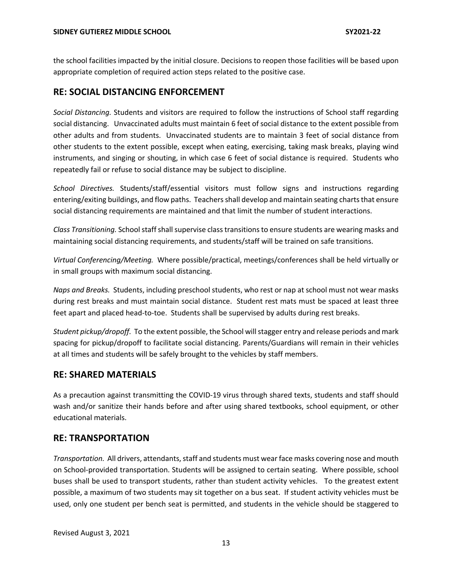the school facilities impacted by the initial closure. Decisions to reopen those facilities will be based upon appropriate completion of required action steps related to the positive case.

#### **RE: SOCIAL DISTANCING ENFORCEMENT**

*Social Distancing.* Students and visitors are required to follow the instructions of School staff regarding social distancing. Unvaccinated adults must maintain 6 feet of social distance to the extent possible from other adults and from students. Unvaccinated students are to maintain 3 feet of social distance from other students to the extent possible, except when eating, exercising, taking mask breaks, playing wind instruments, and singing or shouting, in which case 6 feet of social distance is required. Students who repeatedly fail or refuse to social distance may be subject to discipline.

*School Directives.* Students/staff/essential visitors must follow signs and instructions regarding entering/exiting buildings, and flow paths. Teachers shall develop and maintain seating charts that ensure social distancing requirements are maintained and that limit the number of student interactions.

*Class Transitioning.* School staff shall supervise class transitions to ensure students are wearing masks and maintaining social distancing requirements, and students/staff will be trained on safe transitions.

*Virtual Conferencing/Meeting.* Where possible/practical, meetings/conferences shall be held virtually or in small groups with maximum social distancing.

*Naps and Breaks.* Students, including preschool students, who rest or nap at school must not wear masks during rest breaks and must maintain social distance. Student rest mats must be spaced at least three feet apart and placed head-to-toe. Students shall be supervised by adults during rest breaks.

*Student pickup/dropoff.* To the extent possible, the School will stagger entry and release periods and mark spacing for pickup/dropoff to facilitate social distancing. Parents/Guardians will remain in their vehicles at all times and students will be safely brought to the vehicles by staff members.

#### **RE: SHARED MATERIALS**

As a precaution against transmitting the COVID-19 virus through shared texts, students and staff should wash and/or sanitize their hands before and after using shared textbooks, school equipment, or other educational materials.

#### **RE: TRANSPORTATION**

*Transportation.* All drivers, attendants, staff and students must wear face masks covering nose and mouth on School-provided transportation. Students will be assigned to certain seating. Where possible, school buses shall be used to transport students, rather than student activity vehicles. To the greatest extent possible, a maximum of two students may sit together on a bus seat. If student activity vehicles must be used, only one student per bench seat is permitted, and students in the vehicle should be staggered to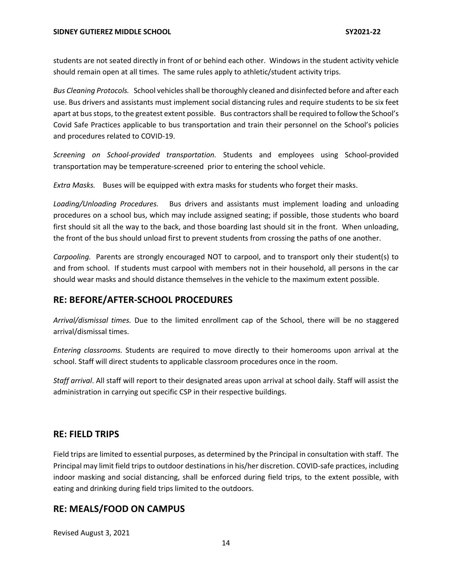students are not seated directly in front of or behind each other. Windows in the student activity vehicle should remain open at all times. The same rules apply to athletic/student activity trips.

*Bus Cleaning Protocols.* School vehicles shall be thoroughly cleaned and disinfected before and after each use. Bus drivers and assistants must implement social distancing rules and require students to be six feet apart at bus stops, to the greatest extent possible. Bus contractors shall be required to follow the School's Covid Safe Practices applicable to bus transportation and train their personnel on the School's policies and procedures related to COVID-19.

*Screening on School-provided transportation.* Students and employees using School-provided transportation may be temperature-screened prior to entering the school vehicle.

*Extra Masks.* Buses will be equipped with extra masks for students who forget their masks.

*Loading/Unloading Procedures.* Bus drivers and assistants must implement loading and unloading procedures on a school bus, which may include assigned seating; if possible, those students who board first should sit all the way to the back, and those boarding last should sit in the front. When unloading, the front of the bus should unload first to prevent students from crossing the paths of one another.

*Carpooling.* Parents are strongly encouraged NOT to carpool, and to transport only their student(s) to and from school. If students must carpool with members not in their household, all persons in the car should wear masks and should distance themselves in the vehicle to the maximum extent possible.

## **RE: BEFORE/AFTER-SCHOOL PROCEDURES**

*Arrival/dismissal times.* Due to the limited enrollment cap of the School, there will be no staggered arrival/dismissal times.

*Entering classrooms.* Students are required to move directly to their homerooms upon arrival at the school. Staff will direct students to applicable classroom procedures once in the room.

*Staff arrival*. All staff will report to their designated areas upon arrival at school daily. Staff will assist the administration in carrying out specific CSP in their respective buildings.

## **RE: FIELD TRIPS**

Field trips are limited to essential purposes, as determined by the Principal in consultation with staff. The Principal may limit field trips to outdoor destinations in his/her discretion. COVID-safe practices, including indoor masking and social distancing, shall be enforced during field trips, to the extent possible, with eating and drinking during field trips limited to the outdoors.

## **RE: MEALS/FOOD ON CAMPUS**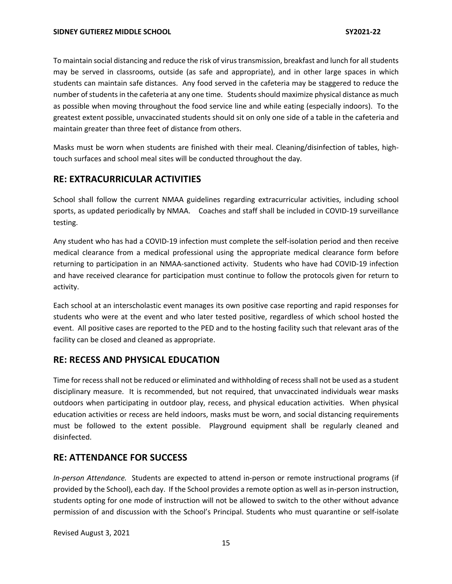To maintain social distancing and reduce the risk of virus transmission, breakfast and lunch for all students may be served in classrooms, outside (as safe and appropriate), and in other large spaces in which students can maintain safe distances. Any food served in the cafeteria may be staggered to reduce the number of students in the cafeteria at any one time. Students should maximize physical distance as much as possible when moving throughout the food service line and while eating (especially indoors). To the greatest extent possible, unvaccinated students should sit on only one side of a table in the cafeteria and maintain greater than three feet of distance from others.

Masks must be worn when students are finished with their meal. Cleaning/disinfection of tables, hightouch surfaces and school meal sites will be conducted throughout the day.

## **RE: EXTRACURRICULAR ACTIVITIES**

School shall follow the current NMAA guidelines regarding extracurricular activities, including school sports, as updated periodically by NMAA. Coaches and staff shall be included in COVID-19 surveillance testing.

Any student who has had a COVID-19 infection must complete the self-isolation period and then receive medical clearance from a medical professional using the appropriate medical clearance form before returning to participation in an NMAA-sanctioned activity. Students who have had COVID-19 infection and have received clearance for participation must continue to follow the protocols given for return to activity.

Each school at an interscholastic event manages its own positive case reporting and rapid responses for students who were at the event and who later tested positive, regardless of which school hosted the event. All positive cases are reported to the PED and to the hosting facility such that relevant aras of the facility can be closed and cleaned as appropriate.

#### **RE: RECESS AND PHYSICAL EDUCATION**

Time for recess shall not be reduced or eliminated and withholding of recess shall not be used as a student disciplinary measure. It is recommended, but not required, that unvaccinated individuals wear masks outdoors when participating in outdoor play, recess, and physical education activities. When physical education activities or recess are held indoors, masks must be worn, and social distancing requirements must be followed to the extent possible. Playground equipment shall be regularly cleaned and disinfected.

#### **RE: ATTENDANCE FOR SUCCESS**

*In-person Attendance.* Students are expected to attend in-person or remote instructional programs (if provided by the School), each day. If the School provides a remote option as well as in-person instruction, students opting for one mode of instruction will not be allowed to switch to the other without advance permission of and discussion with the School's Principal. Students who must quarantine or self-isolate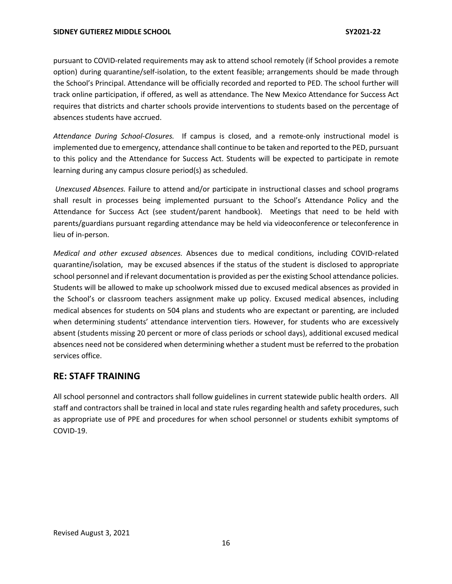pursuant to COVID-related requirements may ask to attend school remotely (if School provides a remote option) during quarantine/self-isolation, to the extent feasible; arrangements should be made through the School's Principal. Attendance will be officially recorded and reported to PED. The school further will track online participation, if offered, as well as attendance. The New Mexico Attendance for Success Act requires that districts and charter schools provide interventions to students based on the percentage of absences students have accrued.

*Attendance During School-Closures.* If campus is closed, and a remote-only instructional model is implemented due to emergency, attendance shall continue to be taken and reported to the PED, pursuant to this policy and the Attendance for Success Act. Students will be expected to participate in remote learning during any campus closure period(s) as scheduled.

*Unexcused Absences.* Failure to attend and/or participate in instructional classes and school programs shall result in processes being implemented pursuant to the School's Attendance Policy and the Attendance for Success Act (see student/parent handbook). Meetings that need to be held with parents/guardians pursuant regarding attendance may be held via videoconference or teleconference in lieu of in-person.

*Medical and other excused absences.* Absences due to medical conditions, including COVID-related quarantine/isolation, may be excused absences if the status of the student is disclosed to appropriate school personnel and if relevant documentation is provided as per the existing School attendance policies. Students will be allowed to make up schoolwork missed due to excused medical absences as provided in the School's or classroom teachers assignment make up policy. Excused medical absences, including medical absences for students on 504 plans and students who are expectant or parenting, are included when determining students' attendance intervention tiers. However, for students who are excessively absent (students missing 20 percent or more of class periods or school days), additional excused medical absences need not be considered when determining whether a student must be referred to the probation services office.

#### **RE: STAFF TRAINING**

All school personnel and contractors shall follow guidelines in current statewide public health orders. All staff and contractors shall be trained in local and state rules regarding health and safety procedures, such as appropriate use of PPE and procedures for when school personnel or students exhibit symptoms of COVID-19.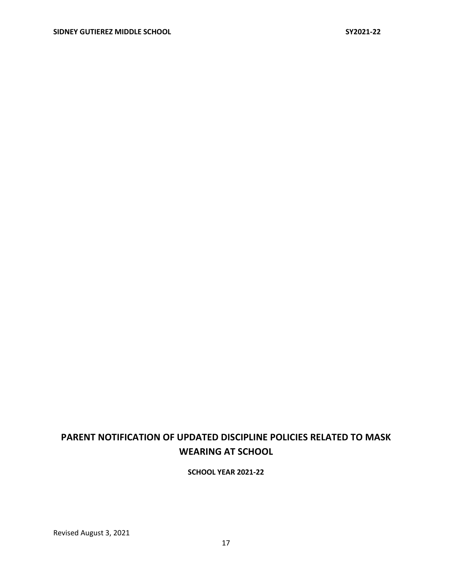# **PARENT NOTIFICATION OF UPDATED DISCIPLINE POLICIES RELATED TO MASK WEARING AT SCHOOL**

**SCHOOL YEAR 2021-22**